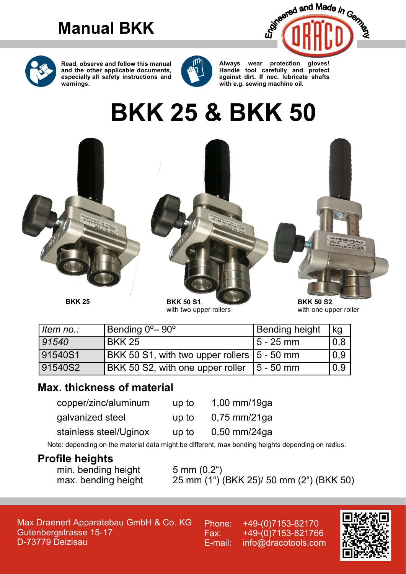# **Manual BKK**





**Read, observe and follow this manual and the other applicable documents, especially all safety instructions and warnings.**



**Always wear protection gloves! Handle tool carefully and protect against dirt. If nec. lubricate shafts with e.g. sewing machine oil.**

# **BKK 25 & BKK 50**



with two upper rollers

| BNN 50 54.            |  |
|-----------------------|--|
| with one upper roller |  |

| Item no.:       | Bending 0°–90°                                | <b>Bending height</b> | kg  |
|-----------------|-----------------------------------------------|-----------------------|-----|
| $ 91540\rangle$ | BKK 25                                        | l 5 - 25 mm           | 0,8 |
| 91540S1         | BKK 50 S1, with two upper rollers   5 - 50 mm |                       | 0,9 |
| 91540S2         | <b>BKK 50 S2, with one upper roller</b>       | $15 - 50$ mm          | 0,9 |

### **Max. thickness of material**

| copper/zinc/aluminum   | up to | 1,00 mm/19ga   |
|------------------------|-------|----------------|
| qalvanized steel       | up to | $0,75$ mm/21ga |
| stainless steel/Uginox | up to | $0,50$ mm/24ga |

Note: depending on the material data might be different, max bending heights depending on radius.

### **Profile heights**

min. bending height 5 mm (0,2")<br>max. bending height 25 mm (1")

25 mm (1") (BKK 25)/ 50 mm (2") (BKK 50)

Max Draenert Apparatebau GmbH & Co. KG Gutenbergstrasse 15-17 D-73779 Deizisau

Phone: +49-(0)7153-82170 Fax: +49-(0)7153-821766 E-mail: info@dracotools.com